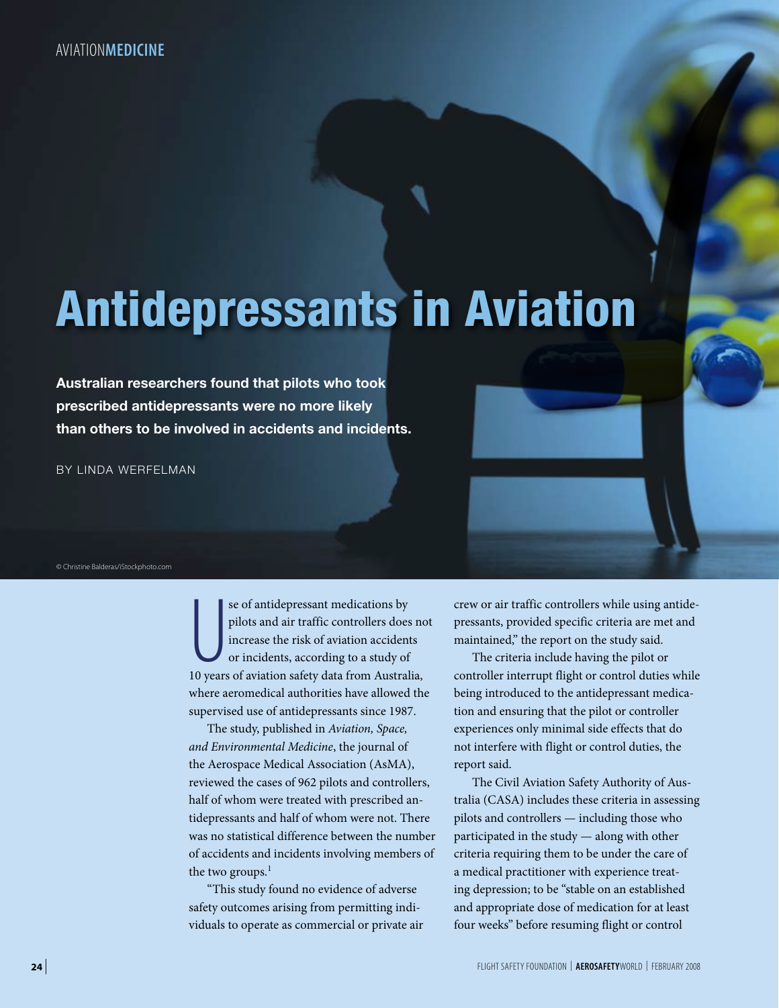# Antidepressants in Aviation

**Australian researchers found that pilots who took prescribed antidepressants were no more likely than others to be involved in accidents and incidents.**

BY LINDA WERFELMAN

© Christine Balderas/iStockphoto.com

se of antidepressant medications by<br>pilots and air traffic controllers does no<br>increase the risk of aviation accidents<br>or incidents, according to a study of<br>10 years of aviation safety data from Australia, se of antidepressant medications by pilots and air traffic controllers does not increase the risk of aviation accidents or incidents, according to a study of where aeromedical authorities have allowed the supervised use of antidepressants since 1987.

The study, published in *Aviation, Space, and Environmental Medicine*, the journal of the Aerospace Medical Association (AsMA), reviewed the cases of 962 pilots and controllers, half of whom were treated with prescribed antidepressants and half of whom were not. There was no statistical difference between the number of accidents and incidents involving members of the two groups. $<sup>1</sup>$ </sup>

"This study found no evidence of adverse safety outcomes arising from permitting individuals to operate as commercial or private air

crew or air traffic controllers while using antidepressants, provided specific criteria are met and maintained," the report on the study said.

The criteria include having the pilot or controller interrupt flight or control duties while being introduced to the antidepressant medication and ensuring that the pilot or controller experiences only minimal side effects that do not interfere with flight or control duties, the report said.

The Civil Aviation Safety Authority of Australia (CASA) includes these criteria in assessing pilots and controllers — including those who participated in the study — along with other criteria requiring them to be under the care of a medical practitioner with experience treating depression; to be "stable on an established and appropriate dose of medication for at least four weeks" before resuming flight or control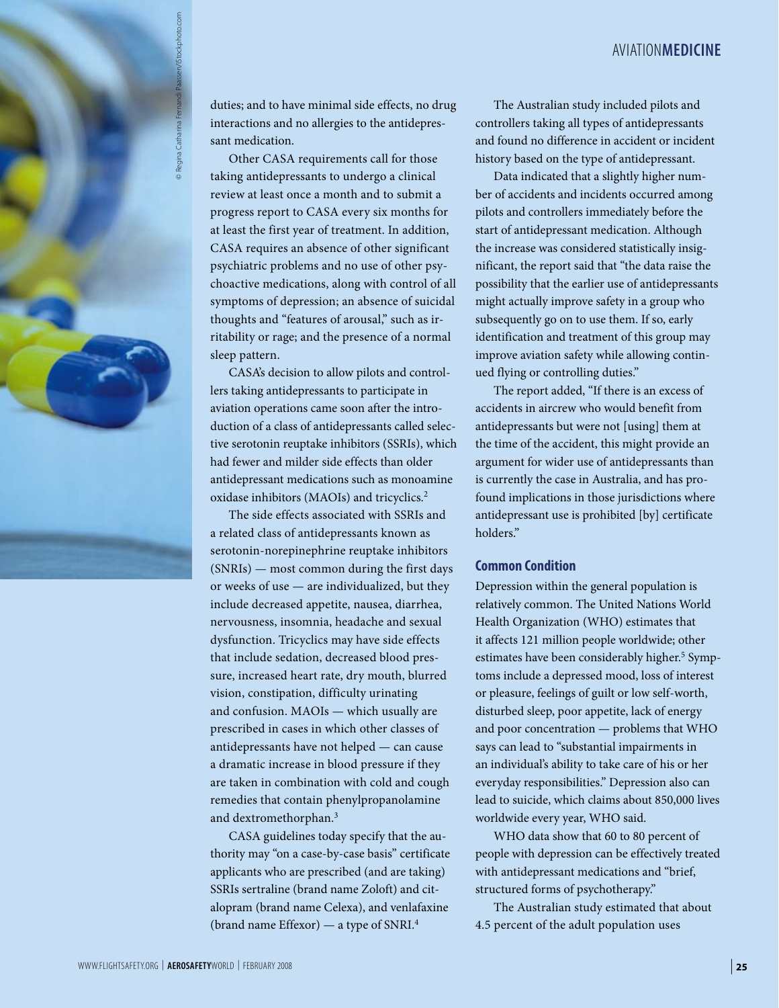## aviation**medicine**



duties; and to have minimal side effects, no drug interactions and no allergies to the antidepressant medication.

Other CASA requirements call for those taking antidepressants to undergo a clinical review at least once a month and to submit a progress report to CASA every six months for at least the first year of treatment. In addition, CASA requires an absence of other significant psychiatric problems and no use of other psychoactive medications, along with control of all symptoms of depression; an absence of suicidal thoughts and "features of arousal," such as irritability or rage; and the presence of a normal sleep pattern.

CASA's decision to allow pilots and controllers taking antidepressants to participate in aviation operations came soon after the introduction of a class of antidepressants called selective serotonin reuptake inhibitors (SSRIs), which had fewer and milder side effects than older antidepressant medications such as monoamine oxidase inhibitors (MAOIs) and tricyclics.2

The side effects associated with SSRIs and a related class of antidepressants known as serotonin-norepinephrine reuptake inhibitors (SNRIs) — most common during the first days or weeks of use — are individualized, but they include decreased appetite, nausea, diarrhea, nervousness, insomnia, headache and sexual dysfunction. Tricyclics may have side effects that include sedation, decreased blood pressure, increased heart rate, dry mouth, blurred vision, constipation, difficulty urinating and confusion. MAOIs — which usually are prescribed in cases in which other classes of antidepressants have not helped — can cause a dramatic increase in blood pressure if they are taken in combination with cold and cough remedies that contain phenylpropanolamine and dextromethorphan.3

CASA guidelines today specify that the authority may "on a case-by-case basis" certificate applicants who are prescribed (and are taking) SSRIs sertraline (brand name Zoloft) and citalopram (brand name Celexa), and venlafaxine (brand name Effexor) — a type of SNRI.4

The Australian study included pilots and controllers taking all types of antidepressants and found no difference in accident or incident history based on the type of antidepressant.

Data indicated that a slightly higher number of accidents and incidents occurred among pilots and controllers immediately before the start of antidepressant medication. Although the increase was considered statistically insignificant, the report said that "the data raise the possibility that the earlier use of antidepressants might actually improve safety in a group who subsequently go on to use them. If so, early identification and treatment of this group may improve aviation safety while allowing continued flying or controlling duties."

The report added, "If there is an excess of accidents in aircrew who would benefit from antidepressants but were not [using] them at the time of the accident, this might provide an argument for wider use of antidepressants than is currently the case in Australia, and has profound implications in those jurisdictions where antidepressant use is prohibited [by] certificate holders."

### **Common Condition**

Depression within the general population is relatively common. The United Nations World Health Organization (WHO) estimates that it affects 121 million people worldwide; other estimates have been considerably higher.<sup>5</sup> Symptoms include a depressed mood, loss of interest or pleasure, feelings of guilt or low self-worth, disturbed sleep, poor appetite, lack of energy and poor concentration — problems that WHO says can lead to "substantial impairments in an individual's ability to take care of his or her everyday responsibilities." Depression also can lead to suicide, which claims about 850,000 lives worldwide every year, WHO said.

WHO data show that 60 to 80 percent of people with depression can be effectively treated with antidepressant medications and "brief, structured forms of psychotherapy."

The Australian study estimated that about 4.5 percent of the adult population uses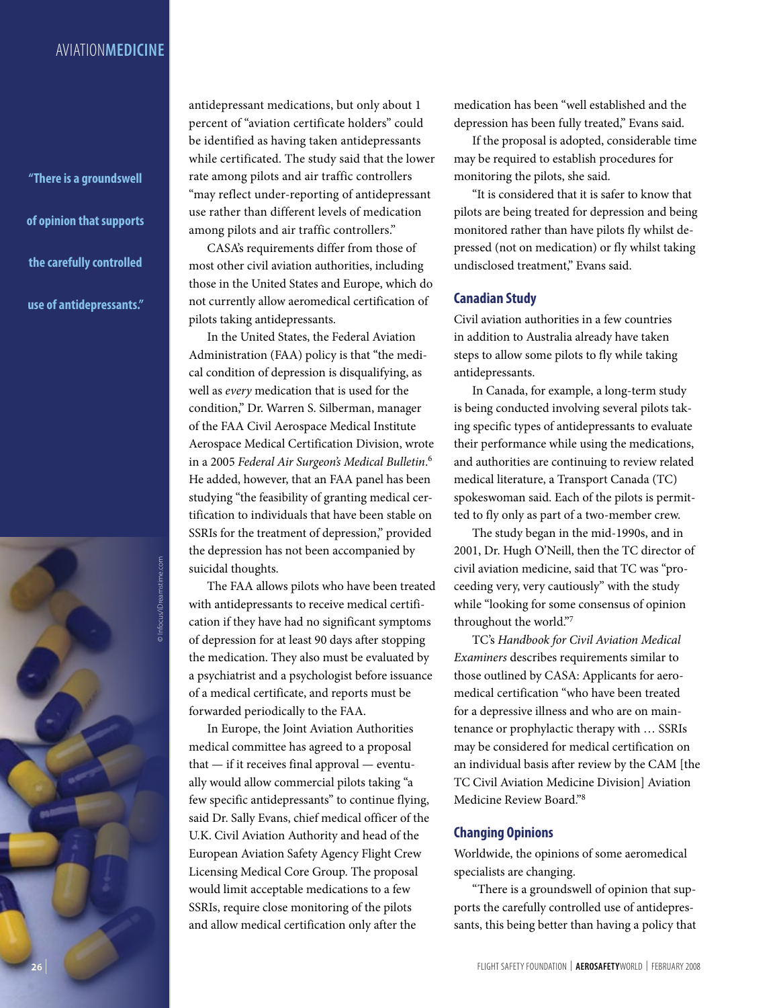# aviation**medicine**

**"There is a groundswell of opinion that supports the carefully controlled use of antidepressants."**

© Infocus/iDreamstime.com

antidepressant medications, but only about 1 percent of "aviation certificate holders" could be identified as having taken antidepressants while certificated. The study said that the lower rate among pilots and air traffic controllers "may reflect under-reporting of antidepressant use rather than different levels of medication among pilots and air traffic controllers."

CASA's requirements differ from those of most other civil aviation authorities, including those in the United States and Europe, which do not currently allow aeromedical certification of pilots taking antidepressants.

In the United States, the Federal Aviation Administration (FAA) policy is that "the medical condition of depression is disqualifying, as well as *every* medication that is used for the condition," Dr. Warren S. Silberman, manager of the FAA Civil Aerospace Medical Institute Aerospace Medical Certification Division, wrote in a 2005 *Federal Air Surgeon's Medical Bulletin*. 6 He added, however, that an FAA panel has been studying "the feasibility of granting medical certification to individuals that have been stable on SSRIs for the treatment of depression," provided the depression has not been accompanied by suicidal thoughts.

The FAA allows pilots who have been treated with antidepressants to receive medical certification if they have had no significant symptoms of depression for at least 90 days after stopping the medication. They also must be evaluated by a psychiatrist and a psychologist before issuance of a medical certificate, and reports must be forwarded periodically to the FAA.

In Europe, the Joint Aviation Authorities medical committee has agreed to a proposal that — if it receives final approval — eventually would allow commercial pilots taking "a few specific antidepressants" to continue flying, said Dr. Sally Evans, chief medical officer of the U.K. Civil Aviation Authority and head of the European Aviation Safety Agency Flight Crew Licensing Medical Core Group. The proposal would limit acceptable medications to a few SSRIs, require close monitoring of the pilots and allow medical certification only after the

medication has been "well established and the depression has been fully treated," Evans said.

If the proposal is adopted, considerable time may be required to establish procedures for monitoring the pilots, she said.

"It is considered that it is safer to know that pilots are being treated for depression and being monitored rather than have pilots fly whilst depressed (not on medication) or fly whilst taking undisclosed treatment," Evans said.

#### **Canadian Study**

Civil aviation authorities in a few countries in addition to Australia already have taken steps to allow some pilots to fly while taking antidepressants.

In Canada, for example, a long-term study is being conducted involving several pilots taking specific types of antidepressants to evaluate their performance while using the medications, and authorities are continuing to review related medical literature, a Transport Canada (TC) spokeswoman said. Each of the pilots is permitted to fly only as part of a two-member crew.

The study began in the mid-1990s, and in 2001, Dr. Hugh O'Neill, then the TC director of civil aviation medicine, said that TC was "proceeding very, very cautiously" with the study while "looking for some consensus of opinion throughout the world."7

TC's *Handbook for Civil Aviation Medical Examiners* describes requirements similar to those outlined by CASA: Applicants for aeromedical certification "who have been treated for a depressive illness and who are on maintenance or prophylactic therapy with … SSRIs may be considered for medical certification on an individual basis after review by the CAM [the TC Civil Aviation Medicine Division] Aviation Medicine Review Board."8

## **Changing Opinions**

Worldwide, the opinions of some aeromedical specialists are changing.

"There is a groundswell of opinion that supports the carefully controlled use of antidepressants, this being better than having a policy that